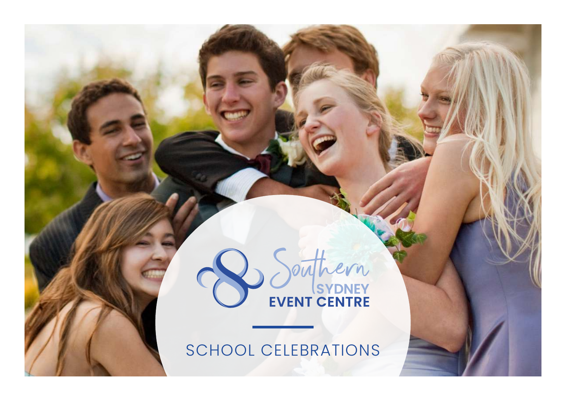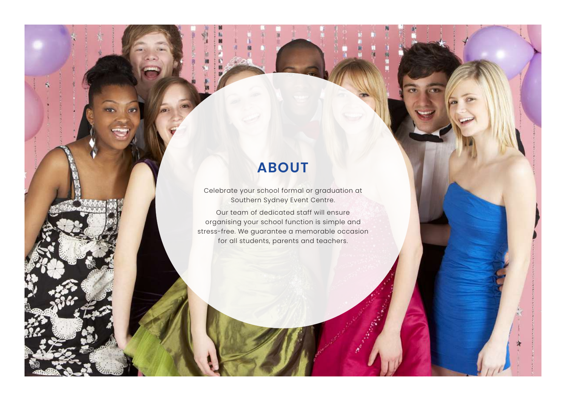## **ABOUT**

Celebrate your school formal or graduation at Southern Sydney Event Centre.

Our team of dedicated staff will ensure organising your school function is simple and stress-free. We guarantee a memorable occasion for all students, parents and teachers.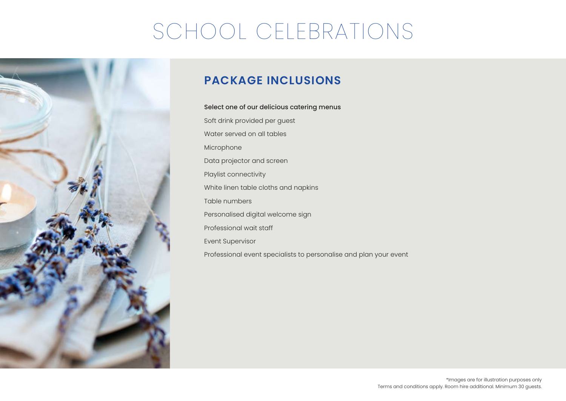

### **PACKAGE INCLUSIONS**

### Select one of our delicious catering menus

Soft drink provided per guest Water served on all tables Microphone Data projector and screen Playlist connectivity White linen table cloths and napkins Table numbers Personalised digital welcome sign Professional wait staff Event Supervisor Professional event specialists to personalise and plan your event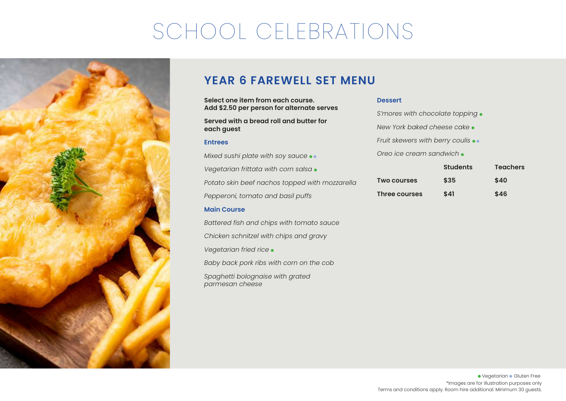

### **YEAR 6 FAREWELL SET MENU**

**Select one item from each course. Add \$2.50 per person for alternate serves**

**Served with a bread roll and butter for each guest**

#### **Entrees**

*Mixed sushi plate with soy sauce Vegetarian frittata with corn salsa Potato skin beef nachos topped with mozzarella Pepperoni, tomato and basil puffs*

### **Main Course**

*Battered fish and chips with tomato sauce Chicken schnitzel with chips and gravy Vegetarian fried rice Baby back pork ribs with corn on the cob Spaghetti bolognaise with grated parmesan cheese*

#### **Dessert**

| Three courses                      | S41             | \$46            |  |  |  |  |  |
|------------------------------------|-----------------|-----------------|--|--|--|--|--|
| <b>Two courses</b>                 | \$35            | \$40            |  |  |  |  |  |
|                                    | <b>Students</b> | <b>Teachers</b> |  |  |  |  |  |
| Oreo ice cream sandwich •          |                 |                 |  |  |  |  |  |
| Fruit skewers with berry coulis •• |                 |                 |  |  |  |  |  |
| New York baked cheese cake •       |                 |                 |  |  |  |  |  |
| S'mores with chocolate topping •   |                 |                 |  |  |  |  |  |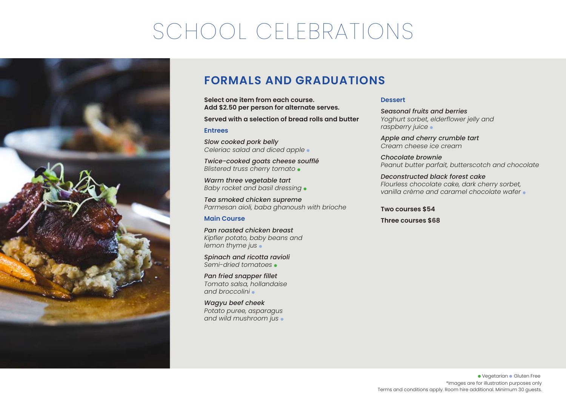

### **FORMALS AND GRADUATIONS**

**Select one item from each course. Add \$2.50 per person for alternate serves.** 

**Served with a selection of bread rolls and butter**

#### **Entrees**

*Slow cooked pork belly Celeriac salad and diced apple* 

*Twice-cooked goats cheese soufflé Blistered truss cherry tomato* 

*Warm three vegetable tart Baby rocket and basil dressing* 

*Tea smoked chicken supreme Parmesan aioli, baba ghanoush with brioche*

### **Main Course**

*Pan roasted chicken breast Kipfler potato, baby beans and lemon thyme jus* 

*Spinach and ricotta ravioli Semi-dried tomatoes* 

*Pan fried snapper fillet Tomato salsa, hollandaise and broccolini* 

*Wagyu beef cheek Potato puree, asparagus and wild mushroom jus* 

### **Dessert**

*Seasonal fruits and berries Yoghurt sorbet, elderflower jelly and raspberry juice* 

*Apple and cherry crumble tart Cream cheese ice cream* 

*Chocolate brownie Peanut butter parfait, butterscotch and chocolate*

*Deconstructed black forest cake Flourless chocolate cake, dark cherry sorbet, vanilla crème and caramel chocolate wafer* 

**Two courses \$54**

**Three courses \$68**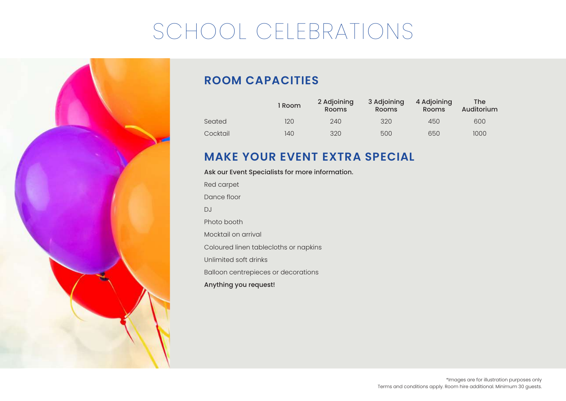

## **ROOM CAPACITIES**

|          | l Room | 2 Adjoining<br><b>Rooms</b> | 3 Adjoining<br><b>Rooms</b> | 4 Adjoining<br>Rooms | The<br>Auditorium |
|----------|--------|-----------------------------|-----------------------------|----------------------|-------------------|
| Seated   | 120    | 240                         | 320                         | 450                  | 600               |
| Cocktail | 140    | 320                         | 500                         | 650                  | 1000              |

### **MAKE YOUR EVENT EXTRA SPECIAL**

### Ask our Event Specialists for more information.

Red carpet Dance floor DJ Photo booth Mocktail on arrival Coloured linen tablecloths or napkins Unlimited soft drinks Balloon centrepieces or decorations Anything you request!